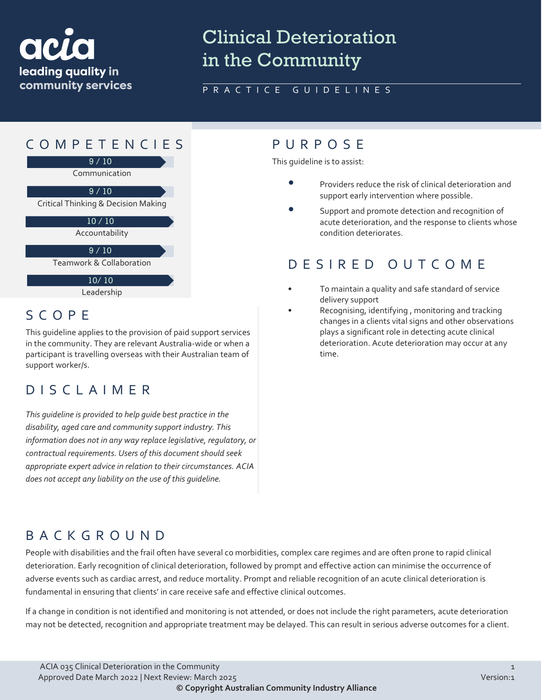

# Clinical Deterioration in the Community

### PRACTICE GUIDELINES



# SCOPE

This guideline applies to the provision of paid support services in the community. They are relevant Australia-wide or when a participant is travelling overseas with their Australian team of support worker/s.

# DISCLAIMER

*This guideline is provided to help guide best practice in the disability, aged care and community support industry. This information does not in any way replace legislative, regulatory, or contractual requirements. Users of this document should seek appropriate expert advice in relation to their circumstances. ACIA does not accept any liability on the use of this guideline.*

This guideline is to assist:

- Providers reduce the risk of clinical deterioration and support early intervention where possible.
- Support and promote detection and recognition of acute deterioration, and the response to clients whose condition deteriorates.

# DESIRED OUTCOME

- To maintain a quality and safe standard of service delivery support
- Recognising, identifying , monitoring and tracking changes in a clients vital signs and other observations plays a significant role in detecting acute clinical deterioration. Acute deterioration may occur at any time.

# BACKGROUND

People with disabilities and the frail often have several co morbidities, complex care regimes and are often prone to rapid clinical deterioration. Early recognition of clinical deterioration, followed by prompt and effective action can minimise the occurrence of adverse events such as cardiac arrest, and reduce mortality. Prompt and reliable recognition of an acute clinical deterioration is fundamental in ensuring that clients' in care receive safe and effective clinical outcomes.

If a change in condition is not identified and monitoring is not attended, or does not include the right parameters, acute deterioration may not be detected, recognition and appropriate treatment may be delayed. This can result in serious adverse outcomes for a client.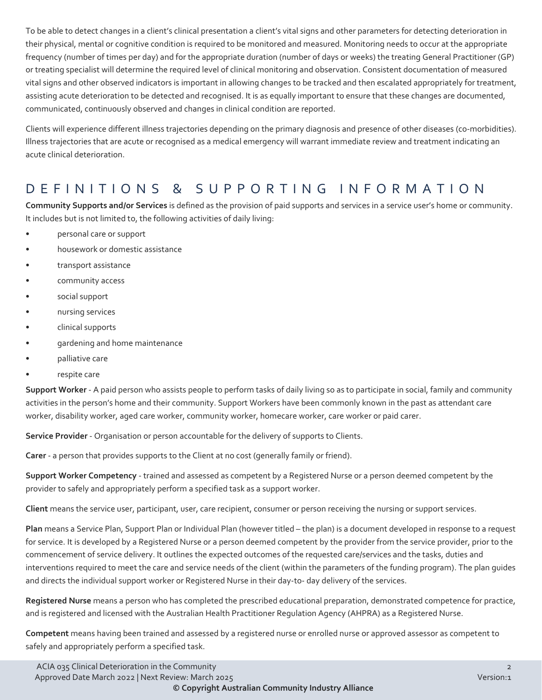To be able to detect changes in a client's clinical presentation a client's vital signs and other parameters for detecting deterioration in their physical, mental or cognitive condition is required to be monitored and measured. Monitoring needs to occur at the appropriate frequency (number of times per day) and for the appropriate duration (number of days or weeks) the treating General Practitioner (GP) or treating specialist will determine the required level of clinical monitoring and observation. Consistent documentation of measured vital signs and other observed indicators is important in allowing changes to be tracked and then escalated appropriately for treatment, assisting acute deterioration to be detected and recognised. It is as equally important to ensure that these changes are documented, communicated, continuously observed and changes in clinical condition are reported.

Clients will experience different illness trajectories depending on the primary diagnosis and presence of other diseases (co-morbidities). Illness trajectories that are acute or recognised as a medical emergency will warrant immediate review and treatment indicating an acute clinical deterioration.

## DEFINITIONS & SUPPORTING INFORMATIO N

**Community Supports and/or Services** is defined as the provision of paid supports and services in a service user's home or community. It includes but is not limited to, the following activities of daily living:

- personal care or support
- housework or domestic assistance
- transport assistance
- community access
- social support
- nursing services
- clinical supports
- gardening and home maintenance
- palliative care
- respite care

**Support Worker** - A paid person who assists people to perform tasks of daily living so as to participate in social, family and community activities in the person's home and their community. Support Workers have been commonly known in the past as attendant care worker, disability worker, aged care worker, community worker, homecare worker, care worker or paid carer.

**Service Provider** - Organisation or person accountable for the delivery of supports to Clients.

**Carer** - a person that provides supports to the Client at no cost (generally family or friend).

**Support Worker Competency** - trained and assessed as competent by a Registered Nurse or a person deemed competent by the provider to safely and appropriately perform a specified task as a support worker.

**Client** means the service user, participant, user, care recipient, consumer or person receiving the nursing or support services.

**Plan** means a Service Plan, Support Plan or Individual Plan (however titled – the plan) is a document developed in response to a request for service. It is developed by a Registered Nurse or a person deemed competent by the provider from the service provider, prior to the commencement of service delivery. It outlines the expected outcomes of the requested care/services and the tasks, duties and interventions required to meet the care and service needs of the client (within the parameters of the funding program). The plan guides and directs the individual support worker or Registered Nurse in their day-to- day delivery of the services.

**Registered Nurse** means a person who has completed the prescribed educational preparation, demonstrated competence for practice, and is registered and licensed with the Australian Health Practitioner Regulation Agency (AHPRA) as a Registered Nurse.

**Competent** means having been trained and assessed by a registered nurse or enrolled nurse or approved assessor as competent to safely and appropriately perform a specified task.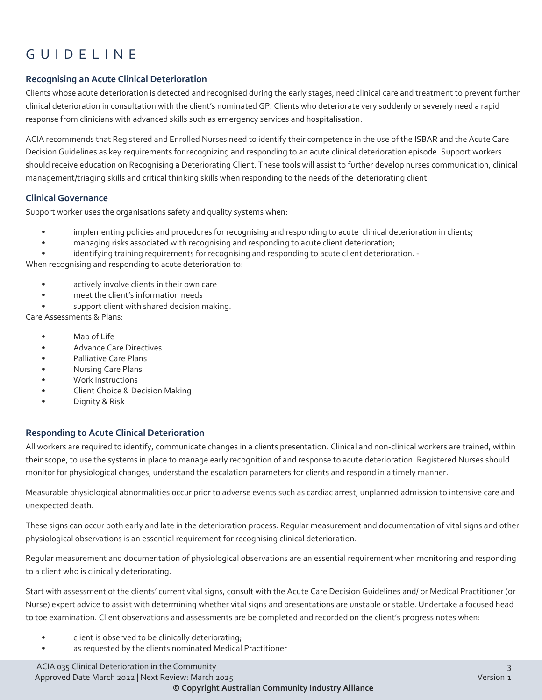# GUIDELINE

### **Recognising an Acute Clinical Deterioration**

Clients whose acute deterioration is detected and recognised during the early stages, need clinical care and treatment to prevent further clinical deterioration in consultation with the client's nominated GP. Clients who deteriorate very suddenly or severely need a rapid response from clinicians with advanced skills such as emergency services and hospitalisation.

ACIA recommends that Registered and Enrolled Nurses need to identify their competence in the use of the ISBAR and the Acute Care Decision Guidelines as key requirements for recognizing and responding to an acute clinical deterioration episode. Support workers should receive education on Recognising a Deteriorating Client. These tools will assist to further develop nurses communication, clinical management/triaging skills and critical thinking skills when responding to the needs of the deteriorating client.

### **Clinical Governance**

Support worker uses the organisations safety and quality systems when:

- implementing policies and procedures for recognising and responding to acute clinical deterioration in clients;
- managing risks associated with recognising and responding to acute client deterioration;
- identifying training requirements for recognising and responding to acute client deterioration. -

When recognising and responding to acute deterioration to:

- actively involve clients in their own care
- meet the client's information needs
- support client with shared decision making.

Care Assessments & Plans:

- Map of Life
- Advance Care Directives
- Palliative Care Plans
- Nursing Care Plans
- Work Instructions
- Client Choice & Decision Making
- Dignity & Risk

### **Responding to Acute Clinical Deterioration**

All workers are required to identify, communicate changes in a clients presentation. Clinical and non-clinical workers are trained, within their scope, to use the systems in place to manage early recognition of and response to acute deterioration. Registered Nurses should monitor for physiological changes, understand the escalation parameters for clients and respond in a timely manner.

Measurable physiological abnormalities occur prior to adverse events such as cardiac arrest, unplanned admission to intensive care and unexpected death.

These signs can occur both early and late in the deterioration process. Regular measurement and documentation of vital signs and other physiological observations is an essential requirement for recognising clinical deterioration.

Regular measurement and documentation of physiological observations are an essential requirement when monitoring and responding to a client who is clinically deteriorating.

Start with assessment of the clients' current vital signs, consult with the Acute Care Decision Guidelines and/ or Medical Practitioner (or Nurse) expert advice to assist with determining whether vital signs and presentations are unstable or stable. Undertake a focused head to toe examination. Client observations and assessments are be completed and recorded on the client's progress notes when:

- client is observed to be clinically deteriorating;
- as requested by the clients nominated Medical Practitioner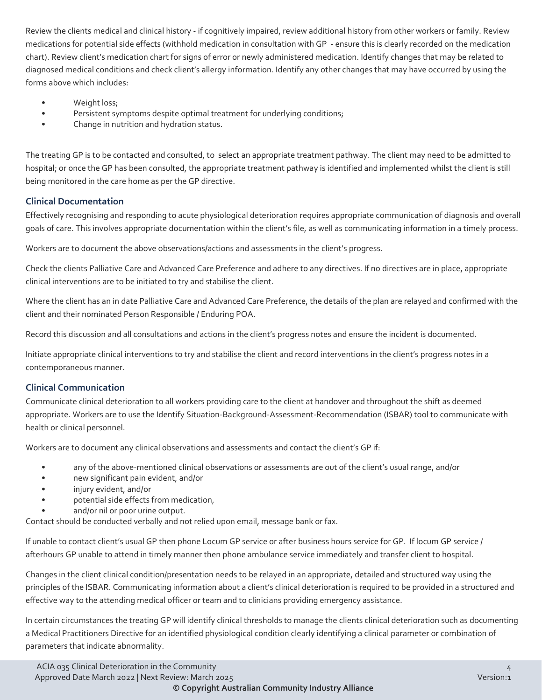Review the clients medical and clinical history - if cognitively impaired, review additional history from other workers or family. Review medications for potential side effects (withhold medication in consultation with GP - ensure this is clearly recorded on the medication chart). Review client's medication chart for signs of error or newly administered medication. Identify changes that may be related to diagnosed medical conditions and check client's allergy information. Identify any other changes that may have occurred by using the forms above which includes:

- Weight loss;
- Persistent symptoms despite optimal treatment for underlying conditions;
- Change in nutrition and hydration status.

The treating GP is to be contacted and consulted, to select an appropriate treatment pathway. The client may need to be admitted to hospital; or once the GP has been consulted, the appropriate treatment pathway is identified and implemented whilst the client is still being monitored in the care home as per the GP directive.

### **Clinical Documentation**

Effectively recognising and responding to acute physiological deterioration requires appropriate communication of diagnosis and overall goals of care. This involves appropriate documentation within the client's file, as well as communicating information in a timely process.

Workers are to document the above observations/actions and assessments in the client's progress.

Check the clients Palliative Care and Advanced Care Preference and adhere to any directives. If no directives are in place, appropriate clinical interventions are to be initiated to try and stabilise the client.

Where the client has an in date Palliative Care and Advanced Care Preference, the details of the plan are relayed and confirmed with the client and their nominated Person Responsible / Enduring POA.

Record this discussion and all consultations and actions in the client's progress notes and ensure the incident is documented.

Initiate appropriate clinical interventions to try and stabilise the client and record interventions in the client's progress notes in a contemporaneous manner.

### **Clinical Communication**

Communicate clinical deterioration to all workers providing care to the client at handover and throughout the shift as deemed appropriate. Workers are to use the Identify Situation-Background-Assessment-Recommendation (ISBAR) tool to communicate with health or clinical personnel.

Workers are to document any clinical observations and assessments and contact the client's GP if:

- any of the above-mentioned clinical observations or assessments are out of the client's usual range, and/or
- new significant pain evident, and/or
- injury evident, and/or
- potential side effects from medication,
- and/or nil or poor urine output.

Contact should be conducted verbally and not relied upon email, message bank or fax.

If unable to contact client's usual GP then phone Locum GP service or after business hours service for GP. If locum GP service / afterhours GP unable to attend in timely manner then phone ambulance service immediately and transfer client to hospital.

Changes in the client clinical condition/presentation needs to be relayed in an appropriate, detailed and structured way using the principles of the ISBAR. Communicating information about a client's clinical deterioration is required to be provided in a structured and effective way to the attending medical officer or team and to clinicians providing emergency assistance.

In certain circumstances the treating GP will identify clinical thresholds to manage the clients clinical deterioration such as documenting a Medical Practitioners Directive for an identified physiological condition clearly identifying a clinical parameter or combination of parameters that indicate abnormality.